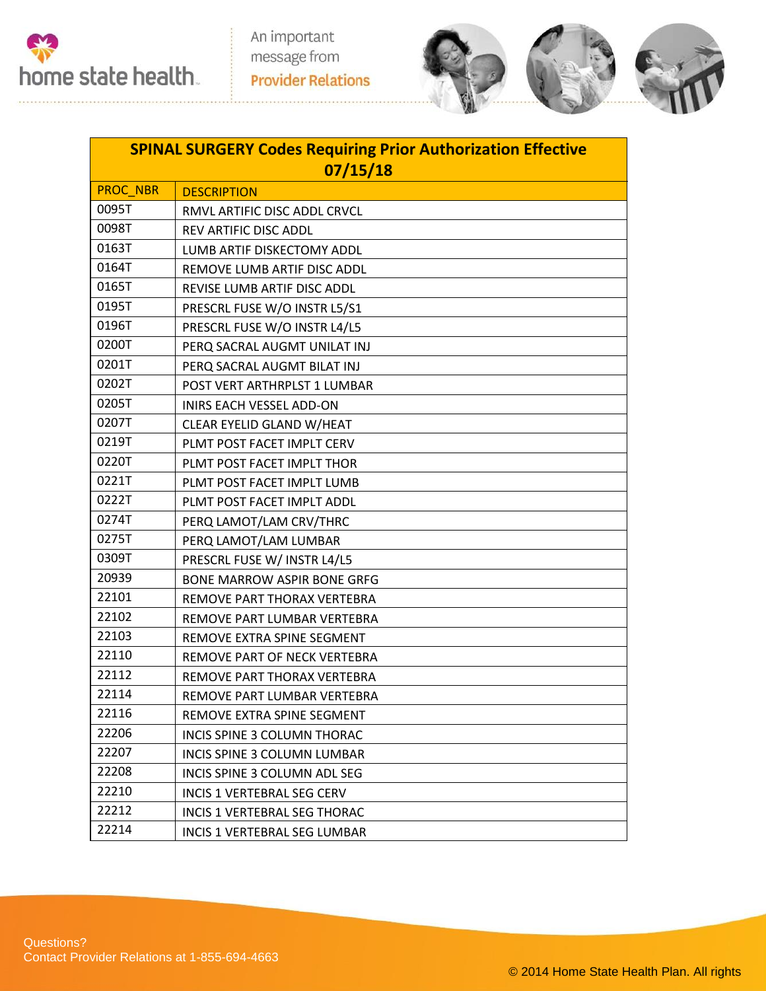



| <b>SPINAL SURGERY Codes Requiring Prior Authorization Effective</b> |                                     |  |  |
|---------------------------------------------------------------------|-------------------------------------|--|--|
| 07/15/18                                                            |                                     |  |  |
| <b>PROC NBR</b>                                                     | <b>DESCRIPTION</b>                  |  |  |
| 0095T                                                               | RMVL ARTIFIC DISC ADDL CRVCL        |  |  |
| 0098T                                                               | REV ARTIFIC DISC ADDL               |  |  |
| 0163T                                                               | LUMB ARTIF DISKECTOMY ADDL          |  |  |
| 0164T                                                               | REMOVE LUMB ARTIF DISC ADDL         |  |  |
| 0165T                                                               | <b>REVISE LUMB ARTIF DISC ADDL</b>  |  |  |
| 0195T                                                               | PRESCRL FUSE W/O INSTR L5/S1        |  |  |
| 0196T                                                               | PRESCRL FUSE W/O INSTR L4/L5        |  |  |
| 0200T                                                               | PERQ SACRAL AUGMT UNILAT INJ        |  |  |
| 0201T                                                               | PERQ SACRAL AUGMT BILAT INJ         |  |  |
| 0202T                                                               | POST VERT ARTHRPLST 1 LUMBAR        |  |  |
| 0205T                                                               | INIRS EACH VESSEL ADD-ON            |  |  |
| 0207T                                                               | CLEAR EYELID GLAND W/HEAT           |  |  |
| 0219T                                                               | PLMT POST FACET IMPLT CERV          |  |  |
| 0220T                                                               | PLMT POST FACET IMPLT THOR          |  |  |
| 0221T                                                               | PLMT POST FACET IMPLT LUMB          |  |  |
| 0222T                                                               | PLMT POST FACET IMPLT ADDL          |  |  |
| 0274T                                                               | PERQ LAMOT/LAM CRV/THRC             |  |  |
| 0275T                                                               | PERQ LAMOT/LAM LUMBAR               |  |  |
| 0309T                                                               | PRESCRL FUSE W/ INSTR L4/L5         |  |  |
| 20939                                                               | <b>BONE MARROW ASPIR BONE GRFG</b>  |  |  |
| 22101                                                               | REMOVE PART THORAX VERTEBRA         |  |  |
| 22102                                                               | REMOVE PART LUMBAR VERTEBRA         |  |  |
| 22103                                                               | REMOVE EXTRA SPINE SEGMENT          |  |  |
| 22110                                                               | REMOVE PART OF NECK VERTEBRA        |  |  |
| 22112                                                               | REMOVE PART THORAX VERTEBRA         |  |  |
| 22114                                                               | REMOVE PART LUMBAR VERTEBRA         |  |  |
| 22116                                                               | REMOVE EXTRA SPINE SEGMENT          |  |  |
| 22206                                                               | INCIS SPINE 3 COLUMN THORAC         |  |  |
| 22207                                                               | INCIS SPINE 3 COLUMN LUMBAR         |  |  |
| 22208                                                               | INCIS SPINE 3 COLUMN ADL SEG        |  |  |
| 22210                                                               | <b>INCIS 1 VERTEBRAL SEG CERV</b>   |  |  |
| 22212                                                               | <b>INCIS 1 VERTEBRAL SEG THORAC</b> |  |  |
| 22214                                                               | INCIS 1 VERTEBRAL SEG LUMBAR        |  |  |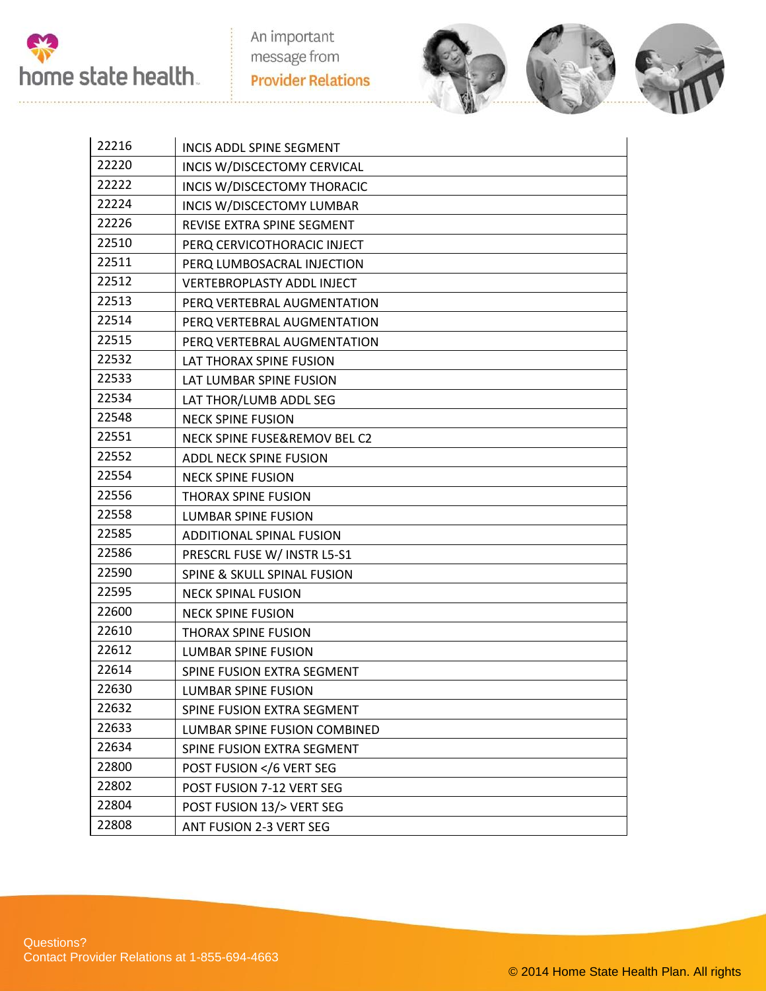

An important message from **Provider Relations** 



| 22216 | INCIS ADDL SPINE SEGMENT             |  |
|-------|--------------------------------------|--|
| 22220 | INCIS W/DISCECTOMY CERVICAL          |  |
| 22222 | INCIS W/DISCECTOMY THORACIC          |  |
| 22224 | INCIS W/DISCECTOMY LUMBAR            |  |
| 22226 | REVISE EXTRA SPINE SEGMENT           |  |
| 22510 | PERQ CERVICOTHORACIC INJECT          |  |
| 22511 | PERQ LUMBOSACRAL INJECTION           |  |
| 22512 | <b>VERTEBROPLASTY ADDL INJECT</b>    |  |
| 22513 | PERQ VERTEBRAL AUGMENTATION          |  |
| 22514 | PERQ VERTEBRAL AUGMENTATION          |  |
| 22515 | PERQ VERTEBRAL AUGMENTATION          |  |
| 22532 | LAT THORAX SPINE FUSION              |  |
| 22533 | LAT LUMBAR SPINE FUSION              |  |
| 22534 | LAT THOR/LUMB ADDL SEG               |  |
| 22548 | <b>NECK SPINE FUSION</b>             |  |
| 22551 | NECK SPINE FUSE&REMOV BEL C2         |  |
| 22552 | ADDL NECK SPINE FUSION               |  |
| 22554 | <b>NECK SPINE FUSION</b>             |  |
| 22556 | <b>THORAX SPINE FUSION</b>           |  |
| 22558 | <b>LUMBAR SPINE FUSION</b>           |  |
| 22585 | <b>ADDITIONAL SPINAL FUSION</b>      |  |
| 22586 | PRESCRL FUSE W/ INSTR L5-S1          |  |
| 22590 | SPINE & SKULL SPINAL FUSION          |  |
| 22595 | <b>NECK SPINAL FUSION</b>            |  |
| 22600 | <b>NECK SPINE FUSION</b>             |  |
| 22610 | <b>THORAX SPINE FUSION</b>           |  |
| 22612 | <b>LUMBAR SPINE FUSION</b>           |  |
| 22614 | SPINE FUSION EXTRA SEGMENT           |  |
| 22630 | LUMBAR SPINE FUSION                  |  |
| 22632 | SPINE FUSION EXTRA SEGMENT           |  |
| 22633 | LUMBAR SPINE FUSION COMBINED         |  |
| 22634 | SPINE FUSION EXTRA SEGMENT           |  |
| 22800 | POST FUSION 6 VERT SEG</td <td></td> |  |
| 22802 | POST FUSION 7-12 VERT SEG            |  |
| 22804 | POST FUSION 13/> VERT SEG            |  |
| 22808 | ANT FUSION 2-3 VERT SEG              |  |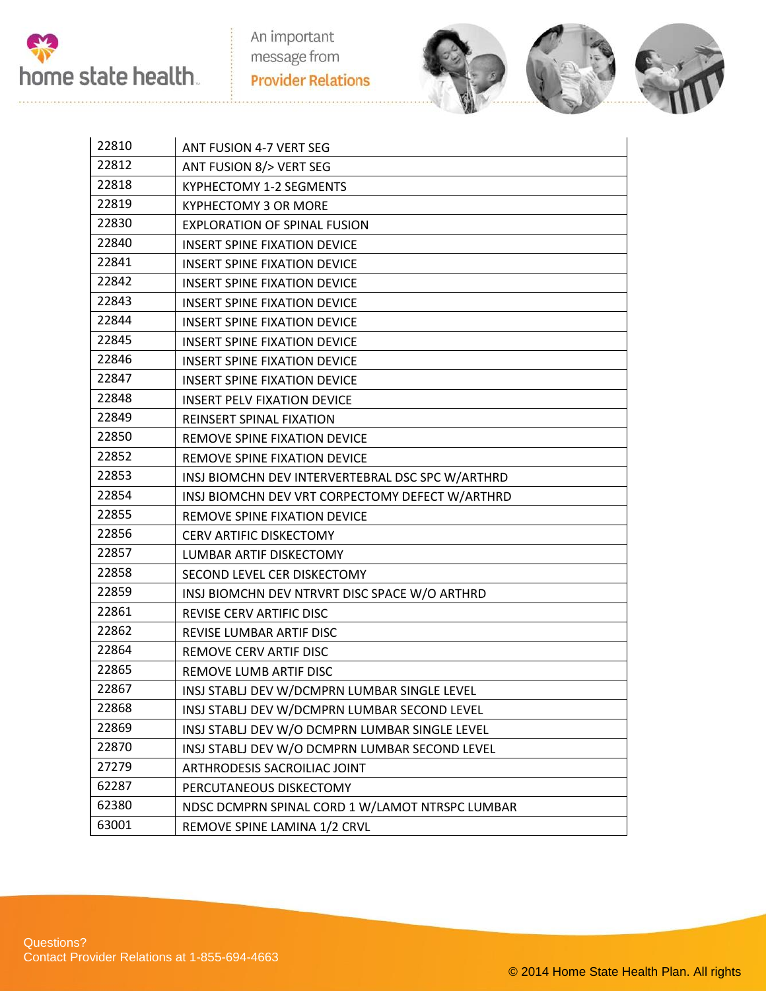

An important message from **Provider Relations** 



| 22810 | ANT FUSION 4-7 VERT SEG                          |
|-------|--------------------------------------------------|
| 22812 | ANT FUSION 8/> VERT SEG                          |
| 22818 | <b>KYPHECTOMY 1-2 SEGMENTS</b>                   |
| 22819 | <b>KYPHECTOMY 3 OR MORE</b>                      |
| 22830 | <b>EXPLORATION OF SPINAL FUSION</b>              |
| 22840 | <b>INSERT SPINE FIXATION DEVICE</b>              |
| 22841 | <b>INSERT SPINE FIXATION DEVICE</b>              |
| 22842 | <b>INSERT SPINE FIXATION DEVICE</b>              |
| 22843 | <b>INSERT SPINE FIXATION DEVICE</b>              |
| 22844 | <b>INSERT SPINE FIXATION DEVICE</b>              |
| 22845 | <b>INSERT SPINE FIXATION DEVICE</b>              |
| 22846 | <b>INSERT SPINE FIXATION DEVICE</b>              |
| 22847 | <b>INSERT SPINE FIXATION DEVICE</b>              |
| 22848 | <b>INSERT PELV FIXATION DEVICE</b>               |
| 22849 | <b>REINSERT SPINAL FIXATION</b>                  |
| 22850 | REMOVE SPINE FIXATION DEVICE                     |
| 22852 | REMOVE SPINE FIXATION DEVICE                     |
| 22853 | INSJ BIOMCHN DEV INTERVERTEBRAL DSC SPC W/ARTHRD |
| 22854 | INSJ BIOMCHN DEV VRT CORPECTOMY DEFECT W/ARTHRD  |
| 22855 | REMOVE SPINE FIXATION DEVICE                     |
| 22856 | <b>CERV ARTIFIC DISKECTOMY</b>                   |
| 22857 | LUMBAR ARTIF DISKECTOMY                          |
| 22858 | SECOND LEVEL CER DISKECTOMY                      |
| 22859 | INSJ BIOMCHN DEV NTRVRT DISC SPACE W/O ARTHRD    |
| 22861 | REVISE CERV ARTIFIC DISC                         |
| 22862 | REVISE LUMBAR ARTIF DISC                         |
| 22864 | REMOVE CERV ARTIF DISC                           |
| 22865 | REMOVE LUMB ARTIF DISC                           |
| 22867 | INSJ STABLJ DEV W/DCMPRN LUMBAR SINGLE LEVEL     |
| 22868 | INSJ STABLJ DEV W/DCMPRN LUMBAR SECOND LEVEL     |
| 22869 | INSJ STABLJ DEV W/O DCMPRN LUMBAR SINGLE LEVEL   |
| 22870 | INSJ STABLJ DEV W/O DCMPRN LUMBAR SECOND LEVEL   |
| 27279 | ARTHRODESIS SACROILIAC JOINT                     |
| 62287 | PERCUTANEOUS DISKECTOMY                          |
| 62380 | NDSC DCMPRN SPINAL CORD 1 W/LAMOT NTRSPC LUMBAR  |
| 63001 | REMOVE SPINE LAMINA 1/2 CRVL                     |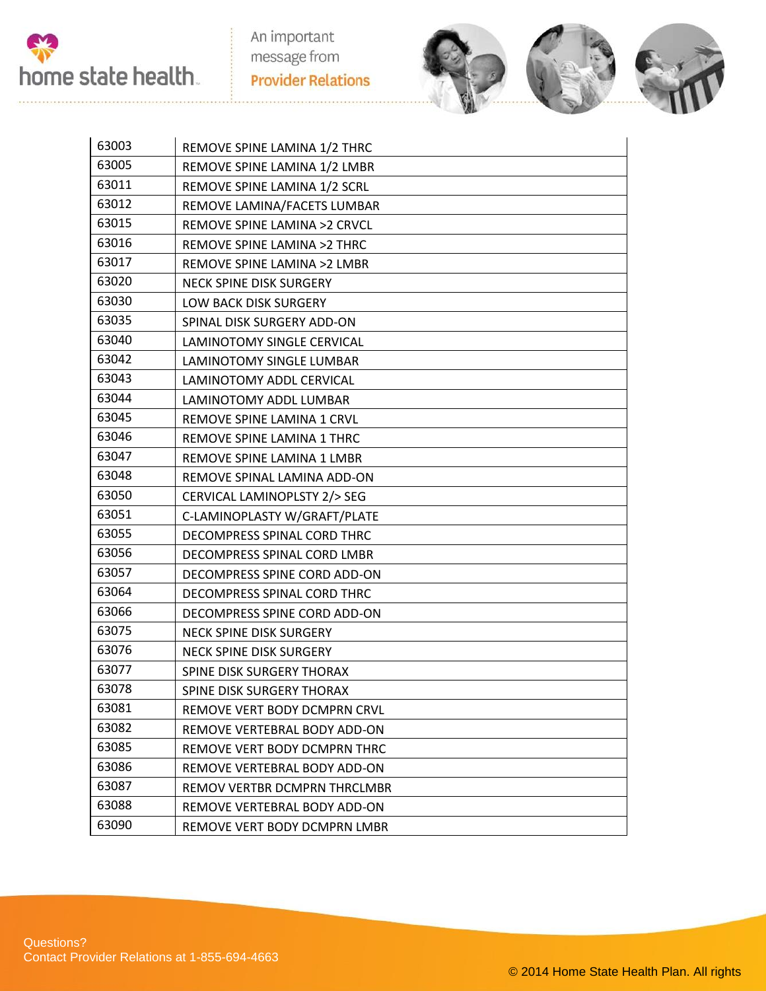



| 63003 | REMOVE SPINE LAMINA 1/2 THRC    |
|-------|---------------------------------|
| 63005 | REMOVE SPINE LAMINA 1/2 LMBR    |
| 63011 | REMOVE SPINE LAMINA 1/2 SCRL    |
| 63012 | REMOVE LAMINA/FACETS LUMBAR     |
| 63015 | REMOVE SPINE LAMINA >2 CRVCL    |
| 63016 | REMOVE SPINE LAMINA >2 THRC     |
| 63017 | REMOVE SPINE LAMINA >2 LMBR     |
| 63020 | NECK SPINE DISK SURGERY         |
| 63030 | LOW BACK DISK SURGERY           |
| 63035 | SPINAL DISK SURGERY ADD-ON      |
| 63040 | LAMINOTOMY SINGLE CERVICAL      |
| 63042 | LAMINOTOMY SINGLE LUMBAR        |
| 63043 | <b>LAMINOTOMY ADDL CERVICAL</b> |
| 63044 | LAMINOTOMY ADDL LUMBAR          |
| 63045 | REMOVE SPINE LAMINA 1 CRVL      |
| 63046 | REMOVE SPINE LAMINA 1 THRC      |
| 63047 | REMOVE SPINE LAMINA 1 LMBR      |
| 63048 | REMOVE SPINAL LAMINA ADD-ON     |
| 63050 | CERVICAL LAMINOPLSTY 2/> SEG    |
| 63051 | C-LAMINOPLASTY W/GRAFT/PLATE    |
| 63055 | DECOMPRESS SPINAL CORD THRC     |
| 63056 | DECOMPRESS SPINAL CORD LMBR     |
| 63057 | DECOMPRESS SPINE CORD ADD-ON    |
| 63064 | DECOMPRESS SPINAL CORD THRC     |
| 63066 | DECOMPRESS SPINE CORD ADD-ON    |
| 63075 | NECK SPINE DISK SURGERY         |
| 63076 | NECK SPINE DISK SURGERY         |
| 63077 | SPINE DISK SURGERY THORAX       |
| 63078 | SPINE DISK SURGERY THORAX       |
| 63081 | REMOVE VERT BODY DCMPRN CRVL    |
| 63082 | REMOVE VERTEBRAL BODY ADD-ON    |
| 63085 | REMOVE VERT BODY DCMPRN THRC    |
| 63086 | REMOVE VERTEBRAL BODY ADD-ON    |
| 63087 | REMOV VERTBR DCMPRN THRCLMBR    |
| 63088 | REMOVE VERTEBRAL BODY ADD-ON    |
| 63090 | REMOVE VERT BODY DCMPRN LMBR    |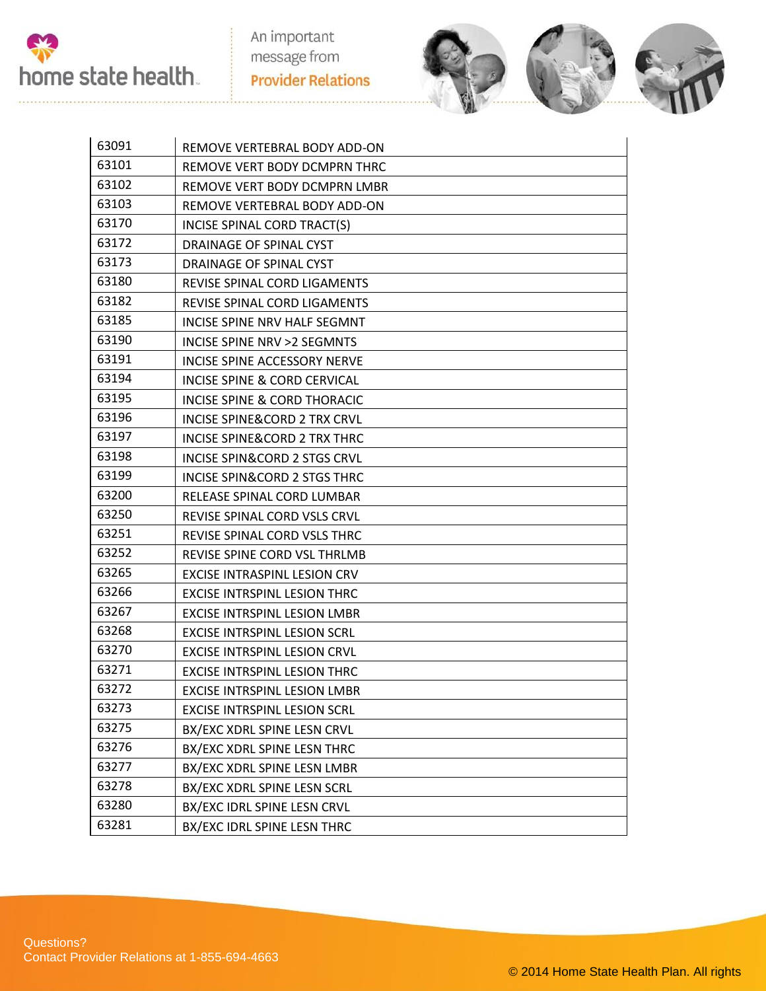



| 63091 | REMOVE VERTEBRAL BODY ADD-ON            |
|-------|-----------------------------------------|
| 63101 | REMOVE VERT BODY DCMPRN THRC            |
| 63102 | REMOVE VERT BODY DCMPRN LMBR            |
| 63103 | REMOVE VERTEBRAL BODY ADD-ON            |
| 63170 | INCISE SPINAL CORD TRACT(S)             |
| 63172 | DRAINAGE OF SPINAL CYST                 |
| 63173 | DRAINAGE OF SPINAL CYST                 |
| 63180 | <b>REVISE SPINAL CORD LIGAMENTS</b>     |
| 63182 | REVISE SPINAL CORD LIGAMENTS            |
| 63185 | INCISE SPINE NRV HALF SEGMNT            |
| 63190 | INCISE SPINE NRV > 2 SEGMNTS            |
| 63191 | INCISE SPINE ACCESSORY NERVE            |
| 63194 | <b>INCISE SPINE &amp; CORD CERVICAL</b> |
| 63195 | INCISE SPINE & CORD THORACIC            |
| 63196 | <b>INCISE SPINE&amp;CORD 2 TRX CRVL</b> |
| 63197 | INCISE SPINE&CORD 2 TRX THRC            |
| 63198 | INCISE SPIN&CORD 2 STGS CRVL            |
| 63199 | INCISE SPIN&CORD 2 STGS THRC            |
| 63200 | RELEASE SPINAL CORD LUMBAR              |
| 63250 | REVISE SPINAL CORD VSLS CRVL            |
| 63251 | REVISE SPINAL CORD VSLS THRC            |
| 63252 | REVISE SPINE CORD VSL THRLMB            |
| 63265 | <b>EXCISE INTRASPINL LESION CRV</b>     |
| 63266 | <b>EXCISE INTRSPINL LESION THRC</b>     |
| 63267 | <b>EXCISE INTRSPINL LESION LMBR</b>     |
| 63268 | <b>EXCISE INTRSPINL LESION SCRL</b>     |
| 63270 | <b>EXCISE INTRSPINL LESION CRVL</b>     |
| 63271 | <b>EXCISE INTRSPINL LESION THRC</b>     |
| 63272 | EXCISE INTRSPINL LESION LMBR            |
| 63273 | <b>EXCISE INTRSPINL LESION SCRL</b>     |
| 63275 | BX/EXC XDRL SPINE LESN CRVL             |
| 63276 | BX/EXC XDRL SPINE LESN THRC             |
| 63277 | BX/EXC XDRL SPINE LESN LMBR             |
| 63278 | BX/EXC XDRL SPINE LESN SCRL             |
| 63280 | BX/EXC IDRL SPINE LESN CRVL             |
| 63281 | BX/EXC IDRL SPINE LESN THRC             |